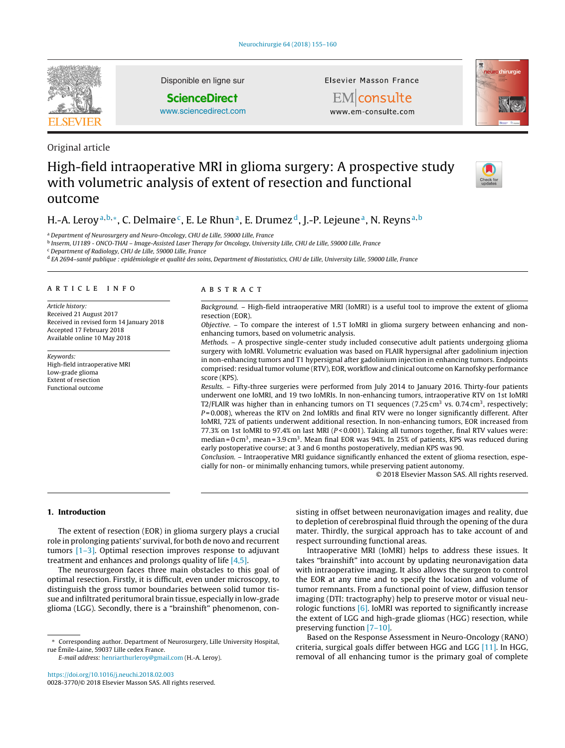

Original article

Disponible en ligne sur

# **ScienceDirect**

[www.sciencedirect.com](http://www.sciencedirect.com/science/journal/00283770)

Elsevier Masson France





# High-field intraoperative MRI in glioma surgery: A prospective study with volumetric analysis of extent of resection and functional outcome



# H.-A. Leroy<sup>a,b,∗</sup>, C. Delmaire<sup>c</sup>, E. Le Rhun<sup>a</sup>, E. Drumez<sup>d</sup>, J.-P. Lejeune<sup>a</sup>, N. Reyns<sup>a,b</sup>

<sup>a</sup> Department of Neurosurgery and Neuro-Oncology, CHU de Lille, 59000 Lille, France

<sup>b</sup> Inserm, U1189 - ONCO-THAI – Image-Assisted Laser Therapy for Oncology, University Lille, CHU de Lille, 59000 Lille, France

<sup>c</sup> Department of Radiology, CHU de Lille, 59000 Lille, France

<sup>d</sup> EA 2694–santé publique : epidémiologie et qualité des soins, Department of Biostatistics, CHU de Lille, University Lille, 59000 Lille, France

# article info

Article history: Received 21 August 2017 Received in revised form 14 January 2018 Accepted 17 February 2018 Available online 10 May 2018

Keywords: High-field intraoperative MRI Low-grade glioma Extent of resection Functional outcome

# **ABSTRACT**

Background. – High-field intraoperative MRI (IoMRI) is a useful tool to improve the extent of glioma resection (EOR).

Objective. - To compare the interest of 1.5T IoMRI in glioma surgery between enhancing and nonenhancing tumors, based on volumetric analysis.

Methods. – A prospective single-center study included consecutive adult patients undergoing glioma surgery with IoMRI. Volumetric evaluation was based on FLAIR hypersignal after gadolinium injection in non-enhancing tumors and T1 hypersignal after gadolinium injection in enhancing tumors. Endpoints comprised: residual tumor volume (RTV), EOR, workflow and clinical outcome on Karnofsky performance score (KPS).

Results. – Fifty-three surgeries were performed from July 2014 to January 2016. Thirty-four patients underwent one IoMRI, and 19 two IoMRIs. In non-enhancing tumors, intraoperative RTV on 1st IoMRI T2/FLAIR was higher than in enhancing tumors on T1 sequences (7.25 cm<sup>3</sup> vs. 0.74 cm<sup>3</sup>, respectively;  $P = 0.008$ ), whereas the RTV on 2nd IoMRIs and final RTV were no longer significantly different. After IoMRI, 72% of patients underwent additional resection. In non-enhancing tumors, EOR increased from 77.3% on 1st IoMRI to 97.4% on last MRI ( $P < 0.001$ ). Taking all tumors together, final RTV values were: median =  $0 \text{ cm}^3$ , mean =  $3.9 \text{ cm}^3$ . Mean final EOR was 94%. In 25% of patients, KPS was reduced during early postoperative course; at 3 and 6 months postoperatively, median KPS was 90.

Conclusion. – Intraoperative MRI guidance significantly enhanced the extent of glioma resection, especially for non- or minimally enhancing tumors, while preserving patient autonomy.

© 2018 Elsevier Masson SAS. All rights reserved.

# **1. Introduction**

The extent of resection (EOR) in glioma surgery plays a crucial role in prolonging patients' survival, for both de novo and recurrent tumors [\[1–3\].](#page-5-0) Optimal resection improves response to adjuvant treatment and enhances and prolongs quality of life [\[4,5\].](#page-5-0)

The neurosurgeon faces three main obstacles to this goal of optimal resection. Firstly, it is difficult, even under microscopy, to distinguish the gross tumor boundaries between solid tumor tissue and infiltrated peritumoral brain tissue, especially in low-grade glioma (LGG). Secondly, there is a "brainshift" phenomenon, consisting in offset between neuronavigation images and reality, due to depletion of cerebrospinal fluid through the opening of the dura mater. Thirdly, the surgical approach has to take account of and respect surrounding functional areas.

Intraoperative MRI (IoMRI) helps to address these issues. It takes "brainshift" into account by updating neuronavigation data with intraoperative imaging. It also allows the surgeon to control the EOR at any time and to specify the location and volume of tumor remnants. From a functional point of view, diffusion tensor imaging (DTI: tractography) help to preserve motor or visual neurologic functions [\[6\]. I](#page-5-0)oMRI was reported to significantly increase the extent of LGG and high-grade gliomas (HGG) resection, while preserving function [\[7–10\].](#page-5-0)

Based on the Response Assessment in Neuro-Oncology (RANO) criteria, surgical goals differ between HGG and LGG [\[11\]. I](#page-5-0)n HGG, removal of all enhancing tumor is the primary goal of complete

<sup>∗</sup> Corresponding author. Department of Neurosurgery, Lille University Hospital, rue Émile-Laine, 59037 Lille cedex France.

E-mail address: [henriarthurleroy@gmail.com](mailto:henriarthurleroy@gmail.com) (H.-A. Leroy).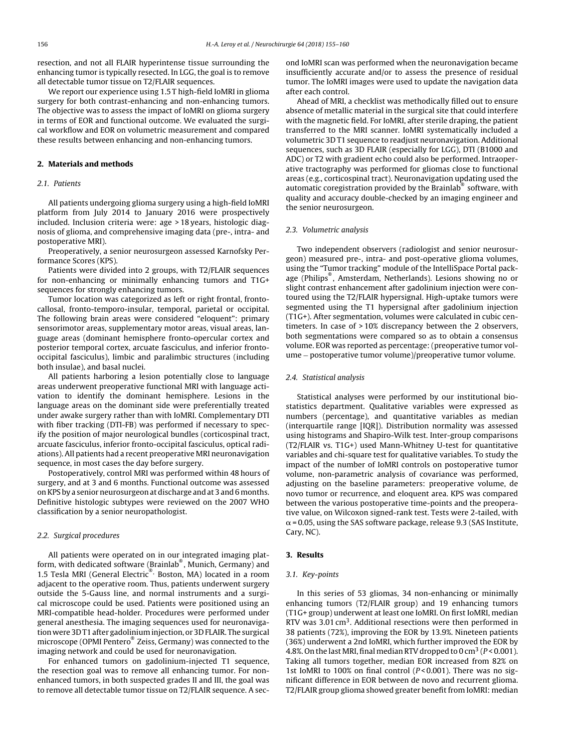resection, and not all FLAIR hyperintense tissue surrounding the enhancing tumor is typically resected. In LGG, the goal is to remove all detectable tumor tissue on T2/FLAIR sequences.

We report our experience using 1.5 T high-field IoMRI in glioma surgery for both contrast-enhancing and non-enhancing tumors. The objective was to assess the impact of IoMRI on glioma surgery in terms of EOR and functional outcome. We evaluated the surgical workflow and EOR on volumetric measurement and compared these results between enhancing and non-enhancing tumors.

# **2. Materials and methods**

# 2.1. Patients

All patients undergoing glioma surgery using a high-field IoMRI platform from July 2014 to January 2016 were prospectively included. Inclusion criteria were: age > 18 years, histologic diagnosis of glioma, and comprehensive imaging data (pre-, intra- and postoperative MRI).

Preoperatively, a senior neurosurgeon assessed Karnofsky Performance Scores (KPS).

Patients were divided into 2 groups, with T2/FLAIR sequences for non-enhancing or minimally enhancing tumors and T1G+ sequences for strongly enhancing tumors.

Tumor location was categorized as left or right frontal, frontocallosal, fronto-temporo-insular, temporal, parietal or occipital. The following brain areas were considered "eloquent": primary sensorimotor areas, supplementary motor areas, visual areas, language areas (dominant hemisphere fronto-opercular cortex and posterior temporal cortex, arcuate fasciculus, and inferior frontooccipital fasciculus), limbic and paralimbic structures (including both insulae), and basal nuclei.

All patients harboring a lesion potentially close to language areas underwent preoperative functional MRI with language activation to identify the dominant hemisphere. Lesions in the language areas on the dominant side were preferentially treated under awake surgery rather than with IoMRI. Complementary DTI with fiber tracking (DTI-FB) was performed if necessary to specify the position of major neurological bundles (corticospinal tract, arcuate fasciculus, inferior fronto-occipital fasciculus, optical radiations). All patients had a recent preoperative MRI neuronavigation sequence, in most cases the day before surgery.

Postoperatively, control MRI was performed within 48 hours of surgery, and at 3 and 6 months. Functional outcome was assessed on KPS by a senior neurosurgeon at discharge and at 3 and 6months. Definitive histologic subtypes were reviewed on the 2007 WHO classification by a senior neuropathologist.

#### 2.2. Surgical procedures

All patients were operated on in our integrated imaging platform, with dedicated software (Brainlab® , Munich, Germany) and 1.5 Tesla MRI (General Electric<sup>®,</sup> Boston, MA) located in a room adjacent to the operative room. Thus, patients underwent surgery outside the 5-Gauss line, and normal instruments and a surgical microscope could be used. Patients were positioned using an MRI-compatible head-holder. Procedures were performed under general anesthesia. The imaging sequences used for neuronavigation were 3D T1 after gadolinium injection, or 3D FLAIR. The surgical microscope (OPMI Pentero® Zeiss, Germany) was connected to the imaging network and could be used for neuronavigation.

For enhanced tumors on gadolinium-injected T1 sequence, the resection goal was to remove all enhancing tumor. For nonenhanced tumors, in both suspected grades II and III, the goal was to remove all detectable tumor tissue on T2/FLAIR sequence. A second IoMRI scan was performed when the neuronavigation became insufficiently accurate and/or to assess the presence of residual tumor. The IoMRI images were used to update the navigation data after each control.

Ahead of MRI, a checklist was methodically filled out to ensure absence of metallic material in the surgical site that could interfere with the magnetic field. For IoMRI, after sterile draping, the patient transferred to the MRI scanner. IoMRI systematically included a volumetric 3D T1 sequence to readjust neuronavigation. Additional sequences, such as 3D FLAIR (especially for LGG), DTI (B1000 and ADC) or T2 with gradient echo could also be performed. Intraoperative tractography was performed for gliomas close to functional areas (e.g., corticospinal tract). Neuronavigation updating used the automatic coregistration provided by the Brainlab® software, with quality and accuracy double-checked by an imaging engineer and the senior neurosurgeon.

# 2.3. Volumetric analysis

Two independent observers (radiologist and senior neurosurgeon) measured pre-, intra- and post-operative glioma volumes, using the "Tumor tracking" module of the IntelliSpace Portal package (Philips® , Amsterdam, Netherlands). Lesions showing no or slight contrast enhancement after gadolinium injection were contoured using the T2/FLAIR hypersignal. High-uptake tumors were segmented using the T1 hypersignal after gadolinium injection (T1G+). After segmentation, volumes were calculated in cubic centimeters. In case of > 10% discrepancy between the 2 observers, both segmentations were compared so as to obtain a consensus volume. EOR was reported as percentage: (preoperative tumor volume − postoperative tumor volume)/preoperative tumor volume.

#### 2.4. Statistical analysis

Statistical analyses were performed by our institutional biostatistics department. Qualitative variables were expressed as numbers (percentage), and quantitative variables as median (interquartile range [IQR]). Distribution normality was assessed using histograms and Shapiro-Wilk test. Inter-group comparisons (T2/FLAIR vs. T1G+) used Mann-Whitney U-test for quantitative variables and chi-square test for qualitative variables. To study the impact of the number of IoMRI controls on postoperative tumor volume, non-parametric analysis of covariance was performed, adjusting on the baseline parameters: preoperative volume, de novo tumor or recurrence, and eloquent area. KPS was compared between the various postoperative time-points and the preoperative value, on Wilcoxon signed-rank test. Tests were 2-tailed, with  $\alpha$  = 0.05, using the SAS software package, release 9.3 (SAS Institute, Cary, NC).

# **3. Results**

# 3.1. Key-points

In this series of 53 gliomas, 34 non-enhancing or minimally enhancing tumors (T2/FLAIR group) and 19 enhancing tumors (T1G+ group) underwent at least one IoMRI. On first IoMRI, median RTV was 3.01  $\text{cm}^3$ . Additional resections were then performed in 38 patients (72%), improving the EOR by 13.9%. Nineteen patients (36%) underwent a 2nd IoMRI, which further improved the EOR by 4.8%. On the last MRI, final median RTV dropped to 0 cm<sup>3</sup> ( $P < 0.001$ ). Taking all tumors together, median EOR increased from 82% on 1st IoMRI to 100% on final control ( $P < 0.001$ ). There was no significant difference in EOR between de novo and recurrent glioma. T2/FLAIR group glioma showed greater benefit from IoMRI: median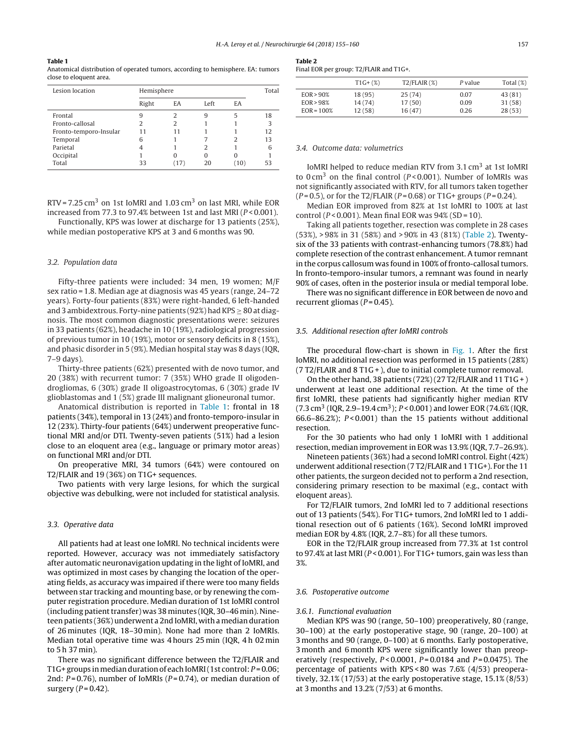#### **Table 1**

Anatomical distribution of operated tumors, according to hemisphere. EA: tumors close to eloquent area.

| Lesion location        | Hemisphere |      |      |      |    |
|------------------------|------------|------|------|------|----|
|                        | Right      | ΕA.  | Left | EA   |    |
| Frontal                | 9          | 2    | 9    | 5    | 18 |
| Fronto-callosal        | っ          |      |      |      | 3  |
| Fronto-temporo-Insular |            |      |      |      | 12 |
| Temporal               | 6          |      |      |      | 13 |
| Parietal               | 4          |      |      |      | 6  |
| Occipital              |            |      | 0    |      |    |
| Total                  | 33         | (17) | 20   | (10) |    |

RTV = 7.25 cm<sup>3</sup> on 1st IoMRI and 1.03 cm<sup>3</sup> on last MRI, while EOR increased from 77.3 to 97.4% between 1st and last MRI ( $P < 0.001$ ).

Functionally, KPS was lower at discharge for 13 patients (25%), while median postoperative KPS at 3 and 6 months was 90.

#### 3.2. Population data

Fifty-three patients were included: 34 men, 19 women; M/F sex ratio = 1.8. Median age at diagnosis was 45 years (range, 24–72 years). Forty-four patients (83%) were right-handed, 6 left-handed and 3 ambidextrous. Forty-nine patients (92%) had KPS  $\geq$  80 at diagnosis. The most common diagnostic presentations were: seizures in 33 patients (62%), headache in 10 (19%), radiological progression of previous tumor in 10 (19%), motor or sensory deficits in 8 (15%), and phasic disorder in 5 (9%). Median hospital stay was 8 days (IQR, 7–9 days).

Thirty-three patients (62%) presented with de novo tumor, and 20 (38%) with recurrent tumor: 7 (35%) WHO grade II oligodendrogliomas, 6 (30%) grade II oligoastrocytomas, 6 (30%) grade IV glioblastomas and 1 (5%) grade III malignant glioneuronal tumor.

Anatomical distribution is reported in Table 1: frontal in 18 patients (34%), temporal in 13 (24%) and fronto-temporo-insular in 12 (23%). Thirty-four patients (64%) underwent preoperative functional MRI and/or DTI. Twenty-seven patients (51%) had a lesion close to an eloquent area (e.g., language or primary motor areas) on functional MRI and/or DTI.

On preoperative MRI, 34 tumors (64%) were contoured on T2/FLAIR and 19 (36%) on T1G+ sequences.

Two patients with very large lesions, for which the surgical objective was debulking, were not included for statistical analysis.

#### 3.3. Operative data

All patients had at least one IoMRI. No technical incidents were reported. However, accuracy was not immediately satisfactory after automatic neuronavigation updating in the light of IoMRI, and was optimized in most cases by changing the location of the operating fields, as accuracy was impaired if there were too many fields between star tracking and mounting base, or by renewing the computer registration procedure. Median duration of 1st IoMRI control (including patient transfer) was 38 minutes (IQR, 30–46 min). Nineteen patients (36%) underwent a 2nd IoMRI, with a median duration of 26 minutes (IQR, 18–30 min). None had more than 2 IoMRIs. Median total operative time was 4 hours 25 min (IQR, 4 h 02 min to 5 h 37 min).

There was no significant difference between the T2/FLAIR and T1G+ groups in median duration of each IoMRI (1st control:  $P = 0.06$ ; 2nd:  $P = 0.76$ ), number of IoMRIs ( $P = 0.74$ ), or median duration of surgery  $(P = 0.42)$ .

**Table 2** Final EOR per group: T2/FLAIR and T1G+.

|              | $T1G+(%)$ | $T2/FLAIR$ (%) | P value | Total $(\%)$ |
|--------------|-----------|----------------|---------|--------------|
| $EOR > 90\%$ | 18 (95)   | 25(74)         | 0.07    | 43(81)       |
| EOR > 98%    | 14(74)    | 17(50)         | 0.09    | 31 (58)      |
| $EOR = 100%$ | 12(58)    | 16(47)         | 0.26    | 28(53)       |
|              |           |                |         |              |

#### 3.4. Outcome data: volumetrics

IoMRI helped to reduce median RTV from 3.1 cm<sup>3</sup> at 1st IoMRI to  $0 \text{ cm}^3$  on the final control ( $P < 0.001$ ). Number of IoMRIs was not significantly associated with RTV, for all tumors taken together  $(P = 0.5)$ , or for the T2/FLAIR  $(P = 0.68)$  or T1G+ groups  $(P = 0.24)$ .

Median EOR improved from 82% at 1st IoMRI to 100% at last control ( $P < 0.001$ ). Mean final EOR was  $94\%$  (SD = 10).

Taking all patients together, resection was complete in 28 cases (53%), > 98% in 31 (58%) and > 90% in 43 (81%) (Table 2). Twentysix of the 33 patients with contrast-enhancing tumors (78.8%) had complete resection of the contrast enhancement. A tumor remnant in the corpus callosum was found in 100% of fronto-callosal tumors. In fronto-temporo-insular tumors, a remnant was found in nearly 90% of cases, often in the posterior insula or medial temporal lobe.

There was no significant difference in EOR between de novo and recurrent gliomas ( $P = 0.45$ ).

#### 3.5. Additional resection after IoMRI controls

The procedural flow-chart is shown in [Fig. 1.](#page-3-0) After the first IoMRI, no additional resection was performed in 15 patients (28%) (7 T2/FLAIR and 8 T1G + ), due to initial complete tumor removal.

On the other hand, 38 patients (72%) (27 T2/FLAIR and 11 T1G + ) underwent at least one additional resection. At the time of the first IoMRI, these patients had significantly higher median RTV  $(7.3 \text{ cm}^3 \text{ (IQR, 2.9-19.4 cm}^3); P < 0.001)$  and lower EOR (74.6% (IQR, 66.6–86.2%);  $P < 0.001$ ) than the 15 patients without additional resection.

For the 30 patients who had only 1 IoMRI with 1 additional resection, median improvement in EOR was 13.9% (IQR, 7.7–26.9%).

Nineteen patients (36%) had a second IoMRI control. Eight (42%) underwent additional resection (7 T2/FLAIR and 1 T1G+). For the 11 other patients, the surgeon decided not to perform a 2nd resection, considering primary resection to be maximal (e.g., contact with eloquent areas).

For T2/FLAIR tumors, 2nd IoMRI led to 7 additional resections out of 13 patients (54%). For T1G+ tumors, 2nd IoMRI led to 1 additional resection out of 6 patients (16%). Second IoMRI improved median EOR by 4.8% (IQR, 2.7–8%) for all these tumors.

EOR in the T2/FLAIR group increased from 77.3% at 1st control to 97.4% at last MRI ( $P < 0.001$ ). For T1G+ tumors, gain was less than 3%.

#### 3.6. Postoperative outcome

#### 3.6.1. Functional evaluation

Median KPS was 90 (range, 50–100) preoperatively, 80 (range, 30–100) at the early postoperative stage, 90 (range, 20–100) at 3 months and 90 (range, 0–100) at 6 months. Early postoperative, 3 month and 6 month KPS were significantly lower than preoperatively (respectively,  $P < 0.0001$ ,  $P = 0.0184$  and  $P = 0.0475$ ). The percentage of patients with KPS < 80 was 7.6% (4/53) preoperatively, 32.1% (17/53) at the early postoperative stage, 15.1% (8/53) at 3 months and 13.2% (7/53) at 6 months.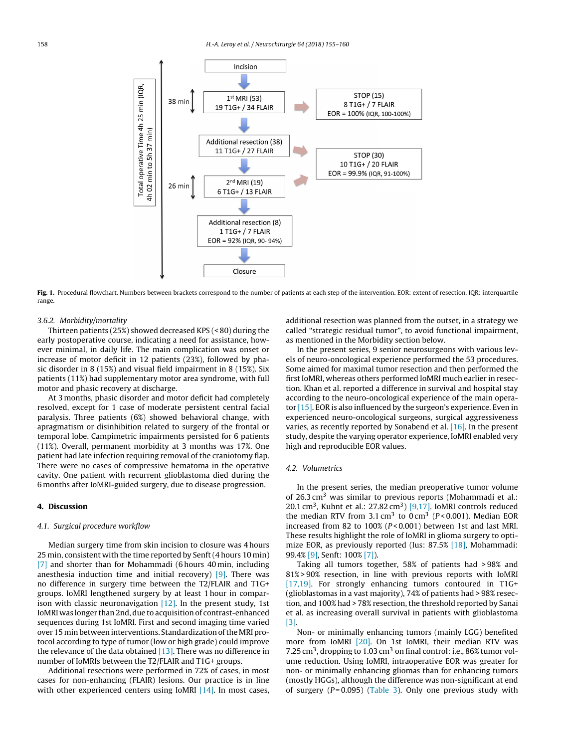<span id="page-3-0"></span>

**Fig. 1.** Procedural flowchart. Numbers between brackets correspond to the number of patients at each step of the intervention. EOR: extent of resection, IQR: interquartile range.

#### 3.6.2. Morbidity/mortality

Thirteen patients (25%) showed decreased KPS (< 80) during the early postoperative course, indicating a need for assistance, however minimal, in daily life. The main complication was onset or increase of motor deficit in 12 patients (23%), followed by phasic disorder in 8 (15%) and visual field impairment in 8 (15%). Six patients (11%) had supplementary motor area syndrome, with full motor and phasic recovery at discharge.

At 3 months, phasic disorder and motor deficit had completely resolved, except for 1 case of moderate persistent central facial paralysis. Three patients (6%) showed behavioral change, with apragmatism or disinhibition related to surgery of the frontal or temporal lobe. Campimetric impairments persisted for 6 patients (11%). Overall, permanent morbidity at 3 months was 17%. One patient had late infection requiring removal of the craniotomy flap. There were no cases of compressive hematoma in the operative cavity. One patient with recurrent glioblastoma died during the 6 months after IoMRI-guided surgery, due to disease progression.

# **4. Discussion**

# 4.1. Surgical procedure workflow

Median surgery time from skin incision to closure was 4 hours 25 min, consistent with the time reported by Senft (4 hours 10 min) [\[7\]](#page-5-0) and shorter than for Mohammadi (6 hours 40 min, including anesthesia induction time and initial recovery)  $[9]$ . There was no difference in surgery time between the T2/FLAIR and T1G+ groups. IoMRI lengthened surgery by at least 1 hour in comparison with classic neuronavigation  $[12]$ . In the present study, 1st IoMRI was longer than 2nd, due to acquisition of contrast-enhanced sequences during 1st IoMRI. First and second imaging time varied over 15 min between interventions. Standardization of theMRI protocol according to type of tumor (low or high grade) could improve the relevance of the data obtained  $[13]$ . There was no difference in number of IoMRIs between the T2/FLAIR and T1G+ groups.

Additional resections were performed in 72% of cases, in most cases for non-enhancing (FLAIR) lesions. Our practice is in line with other experienced centers using IoMRI  $[14]$ . In most cases, additional resection was planned from the outset, in a strategy we called "strategic residual tumor", to avoid functional impairment, as mentioned in the Morbidity section below.

In the present series, 9 senior neurosurgeons with various levels of neuro-oncological experience performed the 53 procedures. Some aimed for maximal tumor resection and then performed the first IoMRI, whereas others performed IoMRI much earlier in resection. Khan et al. reported a difference in survival and hospital stay according to the neuro-oncological experience of the main operator [\[15\]. E](#page-5-0)OR is also influenced by the surgeon's experience. Even in experienced neuro-oncological surgeons, surgical aggressiveness varies, as recently reported by Sonabend et al.  $[16]$ . In the present study, despite the varying operator experience, IoMRI enabled very high and reproducible EOR values.

#### 4.2. Volumetrics

In the present series, the median preoperative tumor volume of  $26.3 \text{ cm}^3$  was similar to previous reports (Mohammadi et al.: 20.1 cm<sup>3</sup>, Kuhnt et al.: 27.82 cm<sup>3</sup>) [\[9,17\]. I](#page-5-0)oMRI controls reduced the median RTV from  $3.1 \text{ cm}^3$  to  $0 \text{ cm}^3$  ( $P < 0.001$ ). Median EOR increased from 82 to 100% ( $P < 0.001$ ) between 1st and last MRI. These results highlight the role of IoMRI in glioma surgery to optimize EOR, as previously reported (Ius: 87.5% [\[18\],](#page-5-0) Mohammadi: 99.4% [\[9\], S](#page-5-0)enft: 100% [\[7\]\).](#page-5-0)

Taking all tumors together, 58% of patients had > 98% and 81% > 90% resection, in line with previous reports with IoMRI [\[17,19\].](#page-5-0) For strongly enhancing tumors contoured in T1G+ (glioblastomas in a vast majority), 74% of patients had > 98% resection, and 100% had > 78% resection, the threshold reported by Sanai et al. as increasing overall survival in patients with glioblastoma [\[3\].](#page-5-0)

Non- or minimally enhancing tumors (mainly LGG) benefited more from IoMRI [\[20\].](#page-5-0) On 1st IoMRI, their median RTV was 7.25 cm<sup>3</sup>, dropping to 1.03 cm<sup>3</sup> on final control: i.e., 86% tumor volume reduction. Using IoMRI, intraoperative EOR was greater for non- or minimally enhancing gliomas than for enhancing tumors (mostly HGGs), although the difference was non-significant at end of surgery  $(P=0.095)$  ([Table 3\)](#page-4-0). Only one previous study with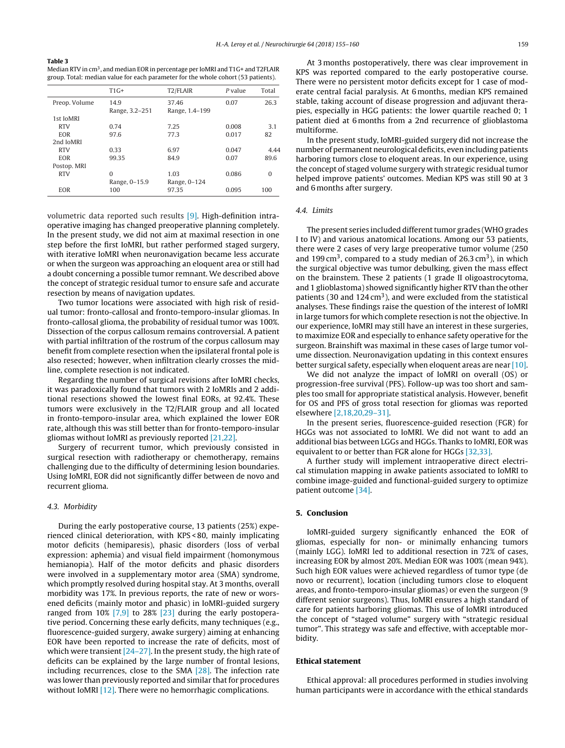#### <span id="page-4-0"></span>**Table 3**

Median RTV in cm<sup>3</sup>, and median EOR in percentage per IoMRI and T1G+ and T2FLAIR group. Total: median value for each parameter for the whole cohort (53 patients).

|               | $T1G+$         | T2/FLAIR       | P value | Total    |
|---------------|----------------|----------------|---------|----------|
| Preop. Volume | 14.9           | 37.46          | 0.07    | 26.3     |
|               | Range, 3.2-251 | Range, 1.4-199 |         |          |
| 1st IoMRI     |                |                |         |          |
| <b>RTV</b>    | 0.74           | 7.25           | 0.008   | 3.1      |
| EOR           | 97.6           | 77.3           | 0.017   | 82       |
| 2nd IoMRI     |                |                |         |          |
| <b>RTV</b>    | 0.33           | 6.97           | 0.047   | 4.44     |
| EOR           | 99.35          | 84.9           | 0.07    | 89.6     |
| Postop. MRI   |                |                |         |          |
| <b>RTV</b>    | $\Omega$       | 1.03           | 0.086   | $\Omega$ |
|               | Range, 0-15.9  | Range, 0-124   |         |          |
| EOR           | 100            | 97.35          | 0.095   | 100      |
|               |                |                |         |          |

volumetric data reported such results [\[9\].](#page-5-0) High-definition intraoperative imaging has changed preoperative planning completely. In the present study, we did not aim at maximal resection in one step before the first IoMRI, but rather performed staged surgery, with iterative IoMRI when neuronavigation became less accurate or when the surgeon was approaching an eloquent area or still had a doubt concerning a possible tumor remnant. We described above the concept of strategic residual tumor to ensure safe and accurate resection by means of navigation updates.

Two tumor locations were associated with high risk of residual tumor: fronto-callosal and fronto-temporo-insular gliomas. In fronto-callosal glioma, the probability of residual tumor was 100%. Dissection of the corpus callosum remains controversial. A patient with partial infiltration of the rostrum of the corpus callosum may benefit from complete resection when the ipsilateral frontal pole is also resected; however, when infiltration clearly crosses the midline, complete resection is not indicated.

Regarding the number of surgical revisions after IoMRI checks, it was paradoxically found that tumors with 2 IoMRIs and 2 additional resections showed the lowest final EORs, at 92.4%. These tumors were exclusively in the T2/FLAIR group and all located in fronto-temporo-insular area, which explained the lower EOR rate, although this was still better than for fronto-temporo-insular gliomas without IoMRI as previously reported [\[21,22\].](#page-5-0)

Surgery of recurrent tumor, which previously consisted in surgical resection with radiotherapy or chemotherapy, remains challenging due to the difficulty of determining lesion boundaries. Using IoMRI, EOR did not significantly differ between de novo and recurrent glioma.

# 4.3. Morbidity

During the early postoperative course, 13 patients (25%) experienced clinical deterioration, with KPS < 80, mainly implicating motor deficits (hemiparesis), phasic disorders (loss of verbal expression: aphemia) and visual field impairment (homonymous hemianopia). Half of the motor deficits and phasic disorders were involved in a supplementary motor area (SMA) syndrome, which promptly resolved during hospital stay. At 3 months, overall morbidity was 17%. In previous reports, the rate of new or worsened deficits (mainly motor and phasic) in IoMRI-guided surgery ranged from 10% [\[7,9\]](#page-5-0) to 28% [\[23\]](#page-5-0) during the early postoperative period. Concerning these early deficits, many techniques (e.g., fluorescence-guided surgery, awake surgery) aiming at enhancing EOR have been reported to increase the rate of deficits, most of which were transient  $[24-27]$ . In the present study, the high rate of deficits can be explained by the large number of frontal lesions, including recurrences, close to the SMA [\[28\].](#page-5-0) The infection rate was lower than previously reported and similar that for procedures without IoMRI [\[12\]. T](#page-5-0)here were no hemorrhagic complications.

At 3 months postoperatively, there was clear improvement in KPS was reported compared to the early postoperative course. There were no persistent motor deficits except for 1 case of moderate central facial paralysis. At 6 months, median KPS remained stable, taking account of disease progression and adjuvant therapies, especially in HGG patients: the lower quartile reached 0; 1 patient died at 6 months from a 2nd recurrence of glioblastoma multiforme.

In the present study, IoMRI-guided surgery did not increase the number of permanent neurological deficits, even including patients harboring tumors close to eloquent areas. In our experience, using the concept of staged volume surgery with strategic residual tumor helped improve patients' outcomes. Median KPS was still 90 at 3 and 6 months after surgery.

# 4.4. Limits

The present series included different tumor grades (WHO grades I to IV) and various anatomical locations. Among our 53 patients, there were 2 cases of very large preoperative tumor volume (250 and 199 cm<sup>3</sup>, compared to a study median of 26.3 cm<sup>3</sup>), in which the surgical objective was tumor debulking, given the mass effect on the brainstem. These 2 patients (1 grade II oligoastrocytoma, and 1 glioblastoma) showed significantly higher RTV than the other patients (30 and  $124 \text{ cm}^3$ ), and were excluded from the statistical analyses. These findings raise the question of the interest of IoMRI in large tumors for which complete resection is not the objective. In our experience, IoMRI may still have an interest in these surgeries, to maximize EOR and especially to enhance safety operative for the surgeon. Brainshift was maximal in these cases of large tumor volume dissection. Neuronavigation updating in this context ensures better surgical safety, especially when eloquent areas are near [\[10\].](#page-5-0)

We did not analyze the impact of IoMRI on overall (OS) or progression-free survival (PFS). Follow-up was too short and samples too small for appropriate statistical analysis. However, benefit for OS and PFS of gross total resection for gliomas was reported elsewhere [\[2,18,20,29–31\].](#page-5-0)

In the present series, fluorescence-guided resection (FGR) for HGGs was not associated to IoMRI. We did not want to add an additional bias between LGGs and HGGs. Thanks to IoMRI, EOR was equivalent to or better than FGR alone for HGGs [\[32,33\].](#page-5-0)

A further study will implement intraoperative direct electrical stimulation mapping in awake patients associated to IoMRI to combine image-guided and functional-guided surgery to optimize patient outcome [\[34\].](#page-5-0)

# **5. Conclusion**

IoMRI-guided surgery significantly enhanced the EOR of gliomas, especially for non- or minimally enhancing tumors (mainly LGG). IoMRI led to additional resection in 72% of cases, increasing EOR by almost 20%. Median EOR was 100% (mean 94%). Such high EOR values were achieved regardless of tumor type (de novo or recurrent), location (including tumors close to eloquent areas, and fronto-temporo-insular gliomas) or even the surgeon (9 different senior surgeons). Thus, IoMRI ensures a high standard of care for patients harboring gliomas. This use of IoMRI introduced the concept of "staged volume" surgery with "strategic residual tumor". This strategy was safe and effective, with acceptable morbidity.

#### **Ethical statement**

Ethical approval: all procedures performed in studies involving human participants were in accordance with the ethical standards